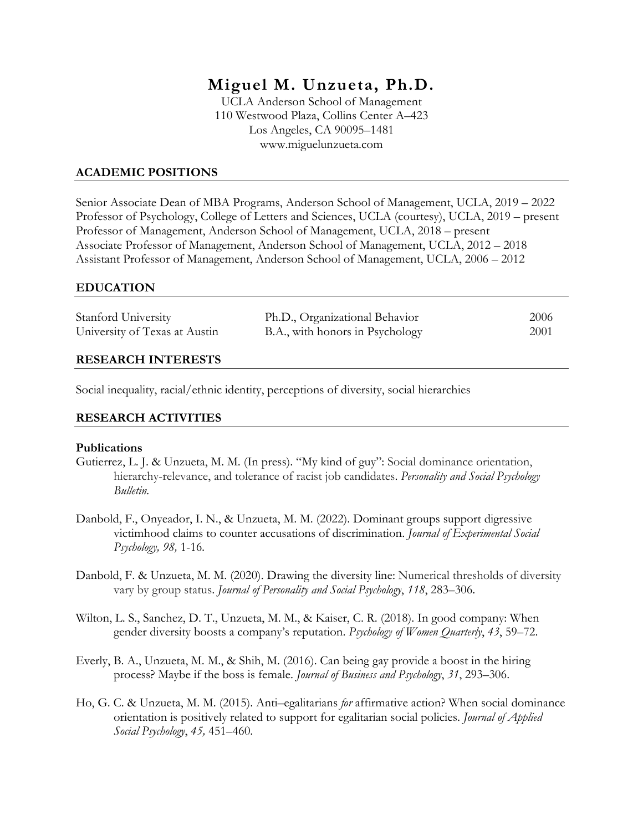# **Miguel M. Unzueta, Ph.D.**

UCLA Anderson School of Management 110 Westwood Plaza, Collins Center A–423 Los Angeles, CA 90095–1481 www.miguelunzueta.com

## **ACADEMIC POSITIONS**

Senior Associate Dean of MBA Programs, Anderson School of Management, UCLA, 2019 – 2022 Professor of Psychology, College of Letters and Sciences, UCLA (courtesy), UCLA, 2019 – present Professor of Management, Anderson School of Management, UCLA, 2018 – present Associate Professor of Management, Anderson School of Management, UCLA, 2012 – 2018 Assistant Professor of Management, Anderson School of Management, UCLA, 2006 – 2012

### **EDUCATION**

| Stanford University           | Ph.D., Organizational Behavior  | 2006 |
|-------------------------------|---------------------------------|------|
| University of Texas at Austin | B.A., with honors in Psychology | 2001 |
|                               |                                 |      |

### **RESEARCH INTERESTS**

Social inequality, racial/ethnic identity, perceptions of diversity, social hierarchies

## **RESEARCH ACTIVITIES**

#### **Publications**

- Gutierrez, L. J. & Unzueta, M. M. (In press). "My kind of guy": Social dominance orientation, hierarchy-relevance, and tolerance of racist job candidates. *Personality and Social Psychology Bulletin.*
- Danbold, F., Onyeador, I. N., & Unzueta, M. M. (2022). Dominant groups support digressive victimhood claims to counter accusations of discrimination. *Journal of Experimental Social Psychology, 98,* 1-16*.*
- Danbold, F. & Unzueta, M. M. (2020). Drawing the diversity line: Numerical thresholds of diversity vary by group status. *Journal of Personality and Social Psychology*, *118*, 283–306.
- Wilton, L. S., Sanchez, D. T., Unzueta, M. M., & Kaiser, C. R. (2018). In good company: When gender diversity boosts a company's reputation. *Psychology of Women Quarterly*, *43*, 59–72.
- Everly, B. A., Unzueta, M. M., & Shih, M. (2016). Can being gay provide a boost in the hiring process? Maybe if the boss is female. *Journal of Business and Psychology*, *31*, 293–306.
- Ho, G. C. & Unzueta, M. M. (2015). Anti–egalitarians *for* affirmative action? When social dominance orientation is positively related to support for egalitarian social policies. *Journal of Applied Social Psychology*, *45,* 451–460.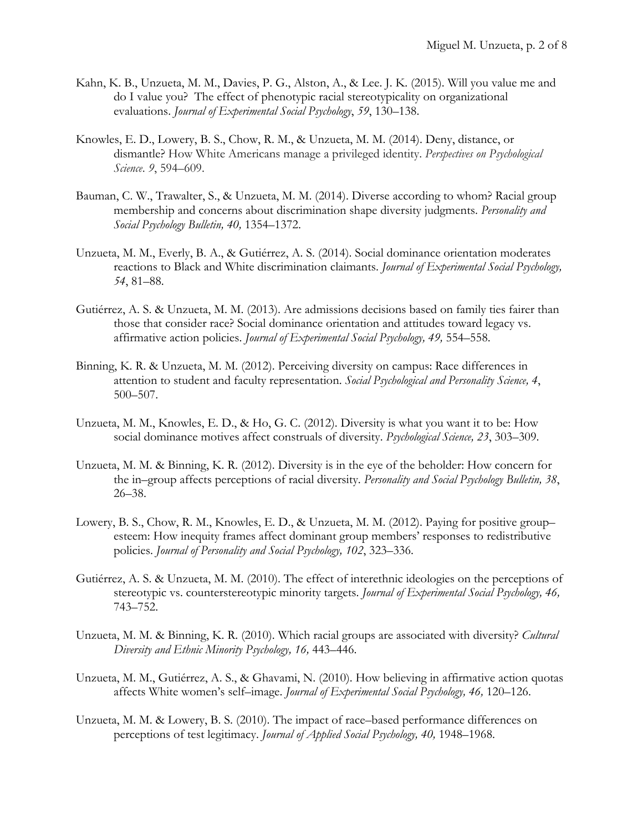- Kahn, K. B., Unzueta, M. M., Davies, P. G., Alston, A., & Lee. J. K. (2015). Will you value me and do I value you? The effect of phenotypic racial stereotypicality on organizational evaluations. *Journal of Experimental Social Psychology*, *59*, 130–138.
- Knowles, E. D., Lowery, B. S., Chow, R. M., & Unzueta, M. M. (2014). Deny, distance, or dismantle? How White Americans manage a privileged identity. *Perspectives on Psychological Science*. *9*, 594–609.
- Bauman, C. W., Trawalter, S., & Unzueta, M. M. (2014). Diverse according to whom? Racial group membership and concerns about discrimination shape diversity judgments. *Personality and Social Psychology Bulletin, 40,* 1354–1372.
- Unzueta, M. M., Everly, B. A., & Gutiérrez, A. S. (2014). Social dominance orientation moderates reactions to Black and White discrimination claimants. *Journal of Experimental Social Psychology, 54*, 81–88.
- Gutiérrez, A. S. & Unzueta, M. M. (2013). Are admissions decisions based on family ties fairer than those that consider race? Social dominance orientation and attitudes toward legacy vs. affirmative action policies. *Journal of Experimental Social Psychology, 49,* 554–558.
- Binning, K. R. & Unzueta, M. M. (2012). Perceiving diversity on campus: Race differences in attention to student and faculty representation. *Social Psychological and Personality Science, 4*, 500–507.
- Unzueta, M. M., Knowles, E. D., & Ho, G. C. (2012). Diversity is what you want it to be: How social dominance motives affect construals of diversity. *Psychological Science, 23*, 303–309.
- Unzueta, M. M. & Binning, K. R. (2012). Diversity is in the eye of the beholder: How concern for the in–group affects perceptions of racial diversity. *Personality and Social Psychology Bulletin, 38*, 26–38.
- Lowery, B. S., Chow, R. M., Knowles, E. D., & Unzueta, M. M. (2012). Paying for positive group– esteem: How inequity frames affect dominant group members' responses to redistributive policies. *Journal of Personality and Social Psychology, 102*, 323–336.
- Gutiérrez, A. S. & Unzueta, M. M. (2010). The effect of interethnic ideologies on the perceptions of stereotypic vs. counterstereotypic minority targets. *Journal of Experimental Social Psychology, 46,*  743–752.
- Unzueta, M. M. & Binning, K. R. (2010). Which racial groups are associated with diversity? *Cultural Diversity and Ethnic Minority Psychology, 16,* 443–446.
- Unzueta, M. M., Gutiérrez, A. S., & Ghavami, N. (2010). How believing in affirmative action quotas affects White women's self–image. *Journal of Experimental Social Psychology, 46,* 120–126.
- Unzueta, M. M. & Lowery, B. S. (2010). The impact of race–based performance differences on perceptions of test legitimacy. *Journal of Applied Social Psychology, 40,* 1948–1968.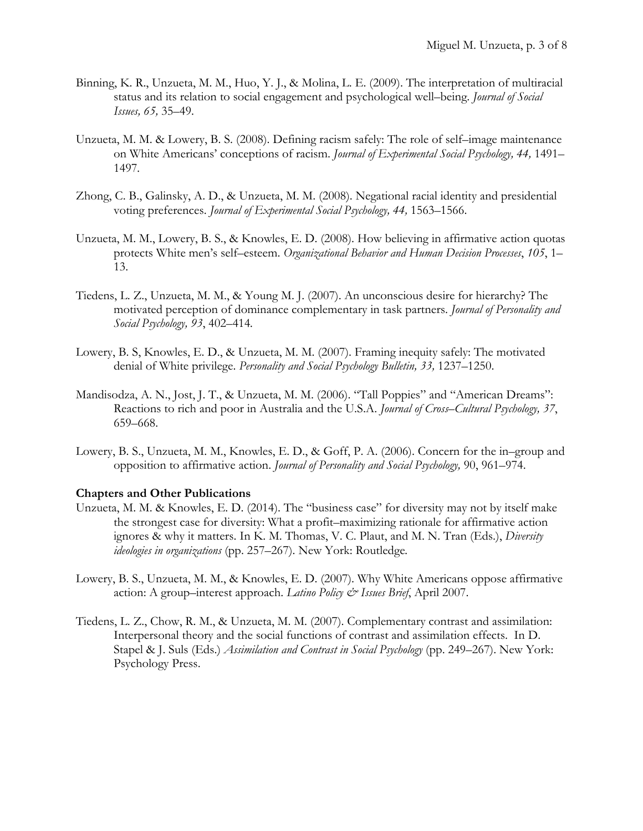- Binning, K. R., Unzueta, M. M., Huo, Y. J., & Molina, L. E. (2009). The interpretation of multiracial status and its relation to social engagement and psychological well–being. *Journal of Social Issues, 65,* 35–49.
- Unzueta, M. M. & Lowery, B. S. (2008). Defining racism safely: The role of self–image maintenance on White Americans' conceptions of racism. *Journal of Experimental Social Psychology, 44,* 1491– 1497*.*
- Zhong, C. B., Galinsky, A. D., & Unzueta, M. M. (2008). Negational racial identity and presidential voting preferences. *Journal of Experimental Social Psychology, 44,* 1563–1566.
- Unzueta, M. M., Lowery, B. S., & Knowles, E. D. (2008). How believing in affirmative action quotas protects White men's self–esteem. *Organizational Behavior and Human Decision Processes*, *105*, 1– 13.
- Tiedens, L. Z., Unzueta, M. M., & Young M. J. (2007). An unconscious desire for hierarchy? The motivated perception of dominance complementary in task partners. *Journal of Personality and Social Psychology, 93*, 402–414*.*
- Lowery, B. S, Knowles, E. D., & Unzueta, M. M. (2007). Framing inequity safely: The motivated denial of White privilege. *Personality and Social Psychology Bulletin, 33,* 1237–1250.
- Mandisodza, A. N., Jost, J. T., & Unzueta, M. M. (2006). "Tall Poppies" and "American Dreams": Reactions to rich and poor in Australia and the U.S.A. *Journal of Cross–Cultural Psychology, 37*, 659–668.
- Lowery, B. S., Unzueta, M. M., Knowles, E. D., & Goff, P. A. (2006). Concern for the in–group and opposition to affirmative action. *Journal of Personality and Social Psychology,* 90, 961–974.

## **Chapters and Other Publications**

- Unzueta, M. M. & Knowles, E. D. (2014). The "business case" for diversity may not by itself make the strongest case for diversity: What a profit–maximizing rationale for affirmative action ignores & why it matters. In K. M. Thomas, V. C. Plaut, and M. N. Tran (Eds.), *Diversity ideologies in organizations* (pp. 257–267). New York: Routledge*.*
- Lowery, B. S., Unzueta, M. M., & Knowles, E. D. (2007). Why White Americans oppose affirmative action: A group–interest approach. *Latino Policy & Issues Brief*, April 2007.
- Tiedens, L. Z., Chow, R. M., & Unzueta, M. M. (2007). Complementary contrast and assimilation: Interpersonal theory and the social functions of contrast and assimilation effects. In D. Stapel & J. Suls (Eds.) *Assimilation and Contrast in Social Psychology* (pp. 249–267). New York: Psychology Press.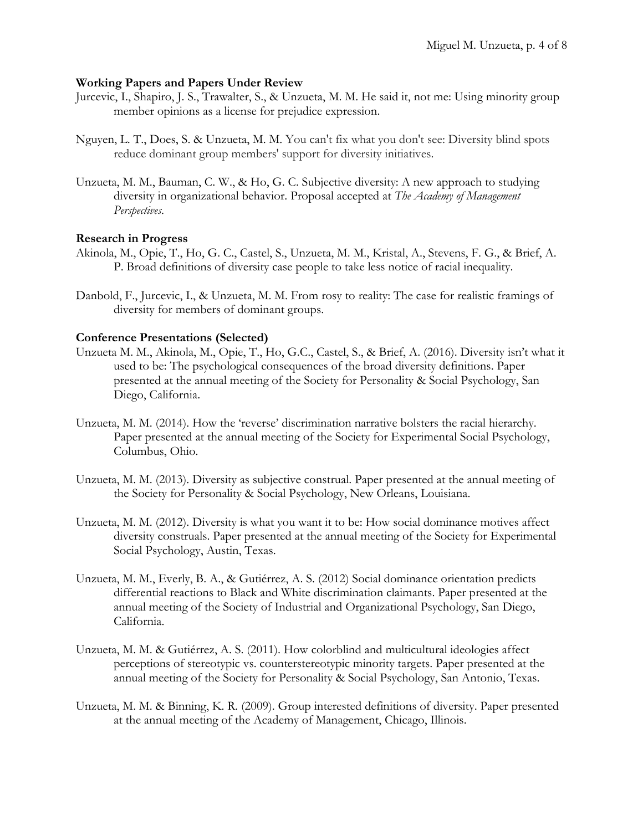#### **Working Papers and Papers Under Review**

- Jurcevic, I., Shapiro, J. S., Trawalter, S., & Unzueta, M. M. He said it, not me: Using minority group member opinions as a license for prejudice expression.
- Nguyen, L. T., Does, S. & Unzueta, M. M. You can't fix what you don't see: Diversity blind spots reduce dominant group members' support for diversity initiatives.
- Unzueta, M. M., Bauman, C. W., & Ho, G. C. Subjective diversity: A new approach to studying diversity in organizational behavior. Proposal accepted at *The Academy of Management Perspectives*.

### **Research in Progress**

- Akinola, M., Opie, T., Ho, G. C., Castel, S., Unzueta, M. M., Kristal, A., Stevens, F. G., & Brief, A. P. Broad definitions of diversity case people to take less notice of racial inequality.
- Danbold, F., Jurcevic, I., & Unzueta, M. M. From rosy to reality: The case for realistic framings of diversity for members of dominant groups.

### **Conference Presentations (Selected)**

- Unzueta M. M., Akinola, M., Opie, T., Ho, G.C., Castel, S., & Brief, A. (2016). Diversity isn't what it used to be: The psychological consequences of the broad diversity definitions. Paper presented at the annual meeting of the Society for Personality & Social Psychology, San Diego, California.
- Unzueta, M. M. (2014). How the 'reverse' discrimination narrative bolsters the racial hierarchy. Paper presented at the annual meeting of the Society for Experimental Social Psychology, Columbus, Ohio.
- Unzueta, M. M. (2013). Diversity as subjective construal. Paper presented at the annual meeting of the Society for Personality & Social Psychology, New Orleans, Louisiana.
- Unzueta, M. M. (2012). Diversity is what you want it to be: How social dominance motives affect diversity construals. Paper presented at the annual meeting of the Society for Experimental Social Psychology, Austin, Texas.
- Unzueta, M. M., Everly, B. A., & Gutiérrez, A. S. (2012) Social dominance orientation predicts differential reactions to Black and White discrimination claimants. Paper presented at the annual meeting of the Society of Industrial and Organizational Psychology, San Diego, California.
- Unzueta, M. M. & Gutiérrez, A. S. (2011). How colorblind and multicultural ideologies affect perceptions of stereotypic vs. counterstereotypic minority targets. Paper presented at the annual meeting of the Society for Personality & Social Psychology, San Antonio, Texas.
- Unzueta, M. M. & Binning, K. R. (2009). Group interested definitions of diversity. Paper presented at the annual meeting of the Academy of Management, Chicago, Illinois.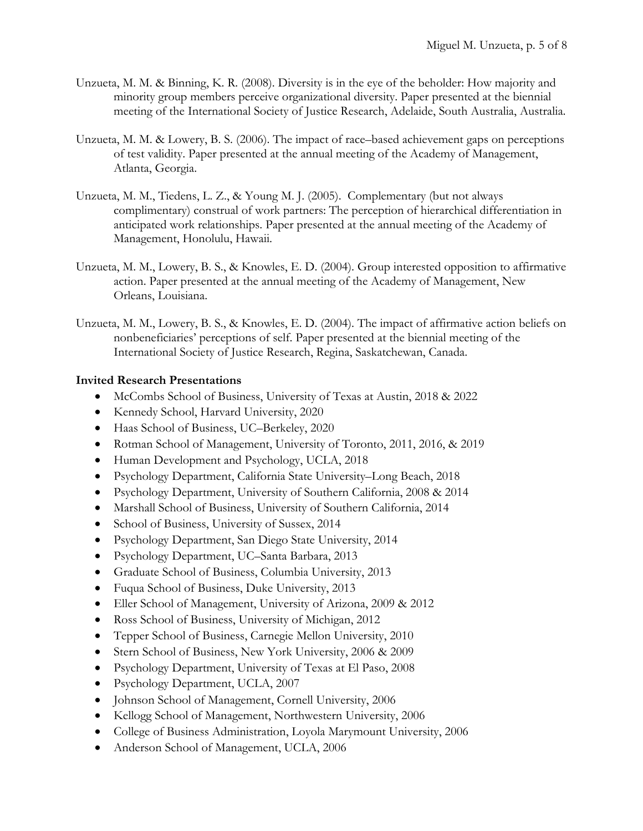- Unzueta, M. M. & Binning, K. R. (2008). Diversity is in the eye of the beholder: How majority and minority group members perceive organizational diversity. Paper presented at the biennial meeting of the International Society of Justice Research, Adelaide, South Australia, Australia.
- Unzueta, M. M. & Lowery, B. S. (2006). The impact of race–based achievement gaps on perceptions of test validity. Paper presented at the annual meeting of the Academy of Management, Atlanta, Georgia.
- Unzueta, M. M., Tiedens, L. Z., & Young M. J. (2005). Complementary (but not always complimentary) construal of work partners: The perception of hierarchical differentiation in anticipated work relationships. Paper presented at the annual meeting of the Academy of Management, Honolulu, Hawaii.
- Unzueta, M. M., Lowery, B. S., & Knowles, E. D. (2004). Group interested opposition to affirmative action. Paper presented at the annual meeting of the Academy of Management, New Orleans, Louisiana.
- Unzueta, M. M., Lowery, B. S., & Knowles, E. D. (2004). The impact of affirmative action beliefs on nonbeneficiaries' perceptions of self. Paper presented at the biennial meeting of the International Society of Justice Research, Regina, Saskatchewan, Canada.

# **Invited Research Presentations**

- McCombs School of Business, University of Texas at Austin, 2018 & 2022
- Kennedy School, Harvard University, 2020
- Haas School of Business, UC–Berkeley, 2020
- Rotman School of Management, University of Toronto, 2011, 2016, & 2019
- Human Development and Psychology, UCLA, 2018
- Psychology Department, California State University–Long Beach, 2018
- Psychology Department, University of Southern California, 2008 & 2014
- Marshall School of Business, University of Southern California, 2014
- School of Business, University of Sussex, 2014
- Psychology Department, San Diego State University, 2014
- Psychology Department, UC–Santa Barbara, 2013
- Graduate School of Business, Columbia University, 2013
- Fuqua School of Business, Duke University, 2013
- Eller School of Management, University of Arizona, 2009 & 2012
- Ross School of Business, University of Michigan, 2012
- Tepper School of Business, Carnegie Mellon University, 2010
- Stern School of Business, New York University, 2006 & 2009
- Psychology Department, University of Texas at El Paso, 2008
- Psychology Department, UCLA, 2007
- Johnson School of Management, Cornell University, 2006
- Kellogg School of Management, Northwestern University, 2006
- College of Business Administration, Loyola Marymount University, 2006
- Anderson School of Management, UCLA, 2006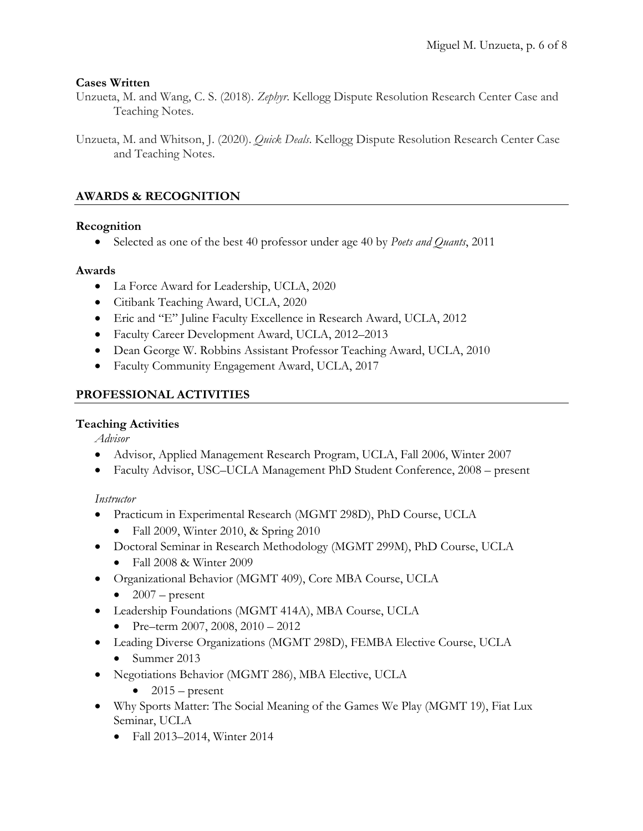## **Cases Written**

Unzueta, M. and Wang, C. S. (2018). *Zephyr*. Kellogg Dispute Resolution Research Center Case and Teaching Notes.

Unzueta, M. and Whitson, J. (2020). *Quick Deals*. Kellogg Dispute Resolution Research Center Case and Teaching Notes.

# **AWARDS & RECOGNITION**

## **Recognition**

• Selected as one of the best 40 professor under age 40 by *Poets and Quants*, 2011

## **Awards**

- La Force Award for Leadership, UCLA, 2020
- Citibank Teaching Award, UCLA, 2020
- Eric and "E" Juline Faculty Excellence in Research Award, UCLA, 2012
- Faculty Career Development Award, UCLA, 2012–2013
- Dean George W. Robbins Assistant Professor Teaching Award, UCLA, 2010
- Faculty Community Engagement Award, UCLA, 2017

# **PROFESSIONAL ACTIVITIES**

# **Teaching Activities**

*Advisor*

- Advisor, Applied Management Research Program, UCLA, Fall 2006, Winter 2007
- Faculty Advisor, USC–UCLA Management PhD Student Conference, 2008 present

# *Instructor*

- Practicum in Experimental Research (MGMT 298D), PhD Course, UCLA
	- Fall 2009, Winter 2010, & Spring 2010
- Doctoral Seminar in Research Methodology (MGMT 299M), PhD Course, UCLA
	- Fall 2008 & Winter 2009
- Organizational Behavior (MGMT 409), Core MBA Course, UCLA
	- $\bullet$  2007 present
- Leadership Foundations (MGMT 414A), MBA Course, UCLA
	- Pre–term 2007, 2008, 2010 2012
- Leading Diverse Organizations (MGMT 298D), FEMBA Elective Course, UCLA
	- Summer 2013
- Negotiations Behavior (MGMT 286), MBA Elective, UCLA
	- $\bullet$  2015 present
- Why Sports Matter: The Social Meaning of the Games We Play (MGMT 19), Fiat Lux Seminar, UCLA
	- Fall 2013–2014, Winter 2014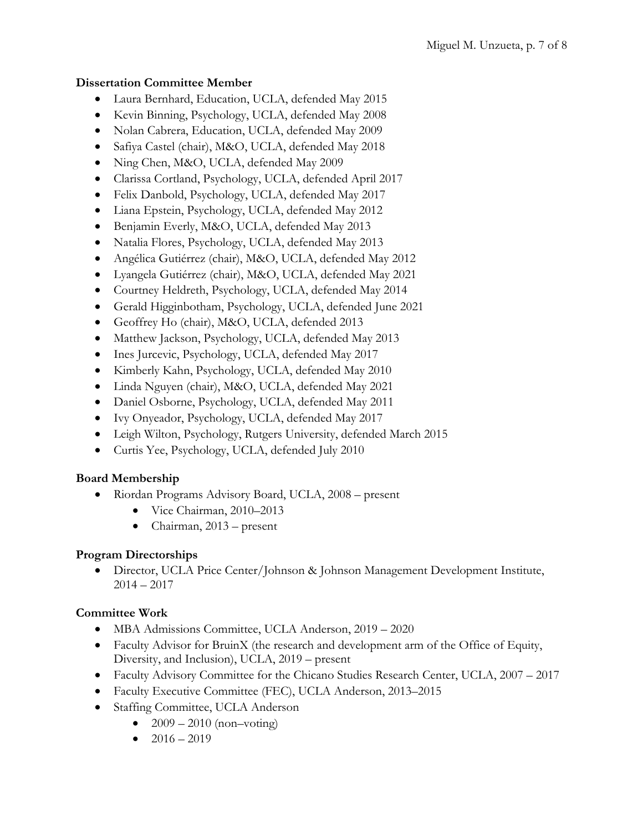# **Dissertation Committee Member**

- Laura Bernhard, Education, UCLA, defended May 2015
- Kevin Binning, Psychology, UCLA, defended May 2008
- Nolan Cabrera, Education, UCLA, defended May 2009
- Safiya Castel (chair), M&O, UCLA, defended May 2018
- Ning Chen, M&O, UCLA, defended May 2009
- Clarissa Cortland, Psychology, UCLA, defended April 2017
- Felix Danbold, Psychology, UCLA, defended May 2017
- Liana Epstein, Psychology, UCLA, defended May 2012
- Benjamin Everly, M&O, UCLA, defended May 2013
- Natalia Flores, Psychology, UCLA, defended May 2013
- Angélica Gutiérrez (chair), M&O, UCLA, defended May 2012
- Lyangela Gutiérrez (chair), M&O, UCLA, defended May 2021
- Courtney Heldreth, Psychology, UCLA, defended May 2014
- Gerald Higginbotham, Psychology, UCLA, defended June 2021
- Geoffrey Ho (chair), M&O, UCLA, defended 2013
- Matthew Jackson, Psychology, UCLA, defended May 2013
- Ines Jurcevic, Psychology, UCLA, defended May 2017
- Kimberly Kahn, Psychology, UCLA, defended May 2010
- Linda Nguyen (chair), M&O, UCLA, defended May 2021
- Daniel Osborne, Psychology, UCLA, defended May 2011
- Ivy Onyeador, Psychology, UCLA, defended May 2017
- Leigh Wilton, Psychology, Rutgers University, defended March 2015
- Curtis Yee, Psychology, UCLA, defended July 2010

# **Board Membership**

- Riordan Programs Advisory Board, UCLA, 2008 present
	- Vice Chairman, 2010–2013
	- Chairman, 2013 present

# **Program Directorships**

• Director, UCLA Price Center/Johnson & Johnson Management Development Institute,  $2014 - 2017$ 

# **Committee Work**

- MBA Admissions Committee, UCLA Anderson, 2019 2020
- Faculty Advisor for BruinX (the research and development arm of the Office of Equity, Diversity, and Inclusion), UCLA, 2019 – present
- Faculty Advisory Committee for the Chicano Studies Research Center, UCLA, 2007 2017
- Faculty Executive Committee (FEC), UCLA Anderson, 2013–2015
- Staffing Committee, UCLA Anderson
	- $2009 2010$  (non–voting)
	- $2016 2019$